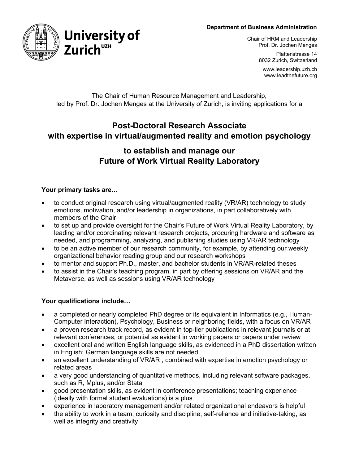#### **Department of Business Administration**



Chair of HRM and Leadership Prof. Dr. Jochen Menges

> Plattenstrasse 14 8032 Zurich, Switzerland

www.leadership.uzh.ch www.leadthefuture.org

# The Chair of Human Resource Management and Leadership, led by Prof. Dr. Jochen Menges at the University of Zurich, is inviting applications for a

# **Post-Doctoral Research Associate with expertise in virtual/augmented reality and emotion psychology**

# **to establish and manage our Future of Work Virtual Reality Laboratory**

# **Your primary tasks are…**

- to conduct original research using virtual/augmented reality (VR/AR) technology to study emotions, motivation, and/or leadership in organizations, in part collaboratively with members of the Chair
- to set up and provide oversight for the Chair's Future of Work Virtual Reality Laboratory, by leading and/or coordinating relevant research projects, procuring hardware and software as needed, and programming, analyzing, and publishing studies using VR/AR technology
- to be an active member of our research community, for example, by attending our weekly organizational behavior reading group and our research workshops
- to mentor and support Ph.D., master, and bachelor students in VR/AR-related theses
- to assist in the Chair's teaching program, in part by offering sessions on VR/AR and the Metaverse, as well as sessions using VR/AR technology

# **Your qualifications include…**

- a completed or nearly completed PhD degree or its equivalent in Informatics (e.g., Human-Computer Interaction), Psychology, Business or neighboring fields, with a focus on VR/AR
- a proven research track record, as evident in top-tier publications in relevant journals or at relevant conferences, or potential as evident in working papers or papers under review
- excellent oral and written English language skills, as evidenced in a PhD dissertation written in English; German language skills are not needed
- an excellent understanding of VR/AR , combined with expertise in emotion psychology or related areas
- a very good understanding of quantitative methods, including relevant software packages, such as R, Mplus, and/or Stata
- good presentation skills, as evident in conference presentations; teaching experience (ideally with formal student evaluations) is a plus
- experience in laboratory management and/or related organizational endeavors is helpful
- the ability to work in a team, curiosity and discipline, self-reliance and initiative-taking, as well as integrity and creativity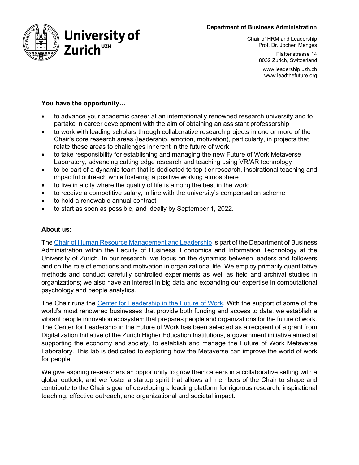#### **Department of Business Administration**



Chair of HRM and Leadership Prof. Dr. Jochen Menges

> Plattenstrasse 14 8032 Zurich, Switzerland

www.leadership.uzh.ch www.leadthefuture.org

# **You have the opportunity…**

- to advance your academic career at an internationally renowned research university and to partake in career development with the aim of obtaining an assistant professorship
- to work with leading scholars through collaborative research projects in one or more of the Chair's core research areas (leadership, emotion, motivation), particularly, in projects that relate these areas to challenges inherent in the future of work
- to take responsibility for establishing and managing the new Future of Work Metaverse Laboratory, advancing cutting edge research and teaching using VR/AR technology
- to be part of a dynamic team that is dedicated to top-tier research, inspirational teaching and impactful outreach while fostering a positive working atmosphere
- to live in a city where the quality of life is among the best in the world
- to receive a competitive salary, in line with the university's compensation scheme
- to hold a renewable annual contract
- to start as soon as possible, and ideally by September 1, 2022.

#### **About us:**

The [Chair of Human Resource Management and Leadership](http://www.leadership.uzh.ch/) is part of the Department of Business Administration within the Faculty of Business, Economics and Information Technology at the University of Zurich. In our research, we focus on the dynamics between leaders and followers and on the role of emotions and motivation in organizational life. We employ primarily quantitative methods and conduct carefully controlled experiments as well as field and archival studies in organizations; we also have an interest in big data and expanding our expertise in computational psychology and people analytics.

The Chair runs the [Center for Leadership in the Future of Work.](http://www.leadthefuture.org/) With the support of some of the world's most renowned businesses that provide both funding and access to data, we establish a vibrant people innovation ecosystem that prepares people and organizations for the future of work. The Center for Leadership in the Future of Work has been selected as a recipient of a grant from Digitalization Initiative of the Zurich Higher Education Institutions, a government initiative aimed at supporting the economy and society, to establish and manage the Future of Work Metaverse Laboratory. This lab is dedicated to exploring how the Metaverse can improve the world of work for people.

We give aspiring researchers an opportunity to grow their careers in a collaborative setting with a global outlook, and we foster a startup spirit that allows all members of the Chair to shape and contribute to the Chair's goal of developing a leading platform for rigorous research, inspirational teaching, effective outreach, and organizational and societal impact.